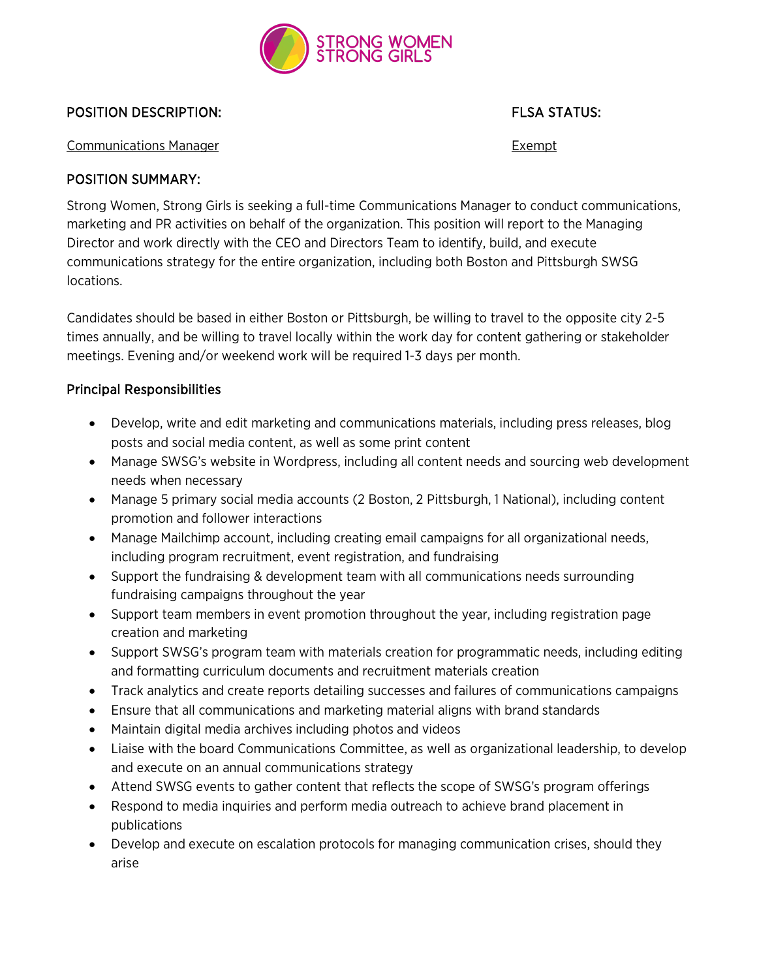

# **POSITION DESCRIPTION:** FLSA STATUS:

Communications Manager Exempt

#### POSITION SUMMARY:

Strong Women, Strong Girls is seeking a full-time Communications Manager to conduct communications, marketing and PR activities on behalf of the organization. This position will report to the Managing Director and work directly with the CEO and Directors Team to identify, build, and execute communications strategy for the entire organization, including both Boston and Pittsburgh SWSG locations.

Candidates should be based in either Boston or Pittsburgh, be willing to travel to the opposite city 2-5 times annually, and be willing to travel locally within the work day for content gathering or stakeholder meetings. Evening and/or weekend work will be required 1-3 days per month.

## Principal Responsibilities

- Develop, write and edit marketing and communications materials, including press releases, blog posts and social media content, as well as some print content
- Manage SWSG's website in Wordpress, including all content needs and sourcing web development needs when necessary
- Manage 5 primary social media accounts (2 Boston, 2 Pittsburgh, 1 National), including content promotion and follower interactions
- Manage Mailchimp account, including creating email campaigns for all organizational needs, including program recruitment, event registration, and fundraising
- Support the fundraising & development team with all communications needs surrounding fundraising campaigns throughout the year
- Support team members in event promotion throughout the year, including registration page creation and marketing
- Support SWSG's program team with materials creation for programmatic needs, including editing and formatting curriculum documents and recruitment materials creation
- Track analytics and create reports detailing successes and failures of communications campaigns
- Ensure that all communications and marketing material aligns with brand standards
- Maintain digital media archives including photos and videos
- Liaise with the board Communications Committee, as well as organizational leadership, to develop and execute on an annual communications strategy
- Attend SWSG events to gather content that reflects the scope of SWSG's program offerings
- Respond to media inquiries and perform media outreach to achieve brand placement in publications
- Develop and execute on escalation protocols for managing communication crises, should they arise